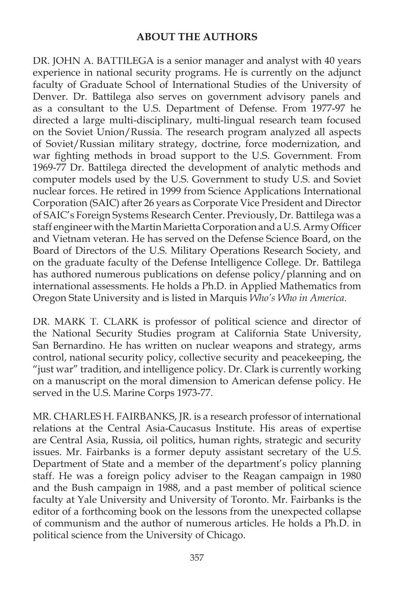## **ABOUT THE AUTHORS**

DR. JOHN A. BATTILEGA is a senior manager and analyst with 40 years experience in national security programs. He is currently on the adjunct faculty of Graduate School of International Studies of the University of Denver. Dr. Battilega also serves on government advisory panels and as a consultant to the U.S. Department of Defense. From 1977-97 he directed a large multi-disciplinary, multi-lingual research team focused on the Soviet Union/Russia. The research program analyzed all aspects of Soviet/Russian military strategy, doctrine, force modernization, and war fighting methods in broad support to the U.S. Government. From 1969-77 Dr. Battilega directed the development of analytic methods and computer models used by the U.S. Government to study U.S. and Soviet nuclear forces. He retired in 1999 from Science Applications International Corporation (SAIC) after 26 years as Corporate Vice President and Director of SAIC's Foreign Systems Research Center. Previously, Dr. Battilega was a staff engineer with the Martin Marietta Corporation and a U.S. Army Officer and Vietnam veteran. He has served on the Defense Science Board, on the Board of Directors of the U.S. Military Operations Research Society, and on the graduate faculty of the Defense Intelligence College. Dr. Battilega has authored numerous publications on defense policy/planning and on international assessments. He holds a Ph.D. in Applied Mathematics from Oregon State University and is listed in Marquis *Who's Who in America*.

DR. MARK T. CLARK is professor of political science and director of the National Security Studies program at California State University, San Bernardino. He has written on nuclear weapons and strategy, arms control, national security policy, collective security and peacekeeping, the "just war" tradition, and intelligence policy. Dr. Clark is currently working on a manuscript on the moral dimension to American defense policy. He served in the U.S. Marine Corps 1973-77.

MR. CHARLES H. FAIRBANKS, JR. is a research professor of international relations at the Central Asia-Caucasus Institute. His areas of expertise are Central Asia, Russia, oil politics, human rights, strategic and security issues. Mr. Fairbanks is a former deputy assistant secretary of the U.S. Department of State and a member of the department's policy planning staff. He was a foreign policy adviser to the Reagan campaign in 1980 and the Bush campaign in 1988, and a past member of political science faculty at Yale University and University of Toronto. Mr. Fairbanks is the editor of a forthcoming book on the lessons from the unexpected collapse of communism and the author of numerous articles. He holds a Ph.D. in political science from the University of Chicago.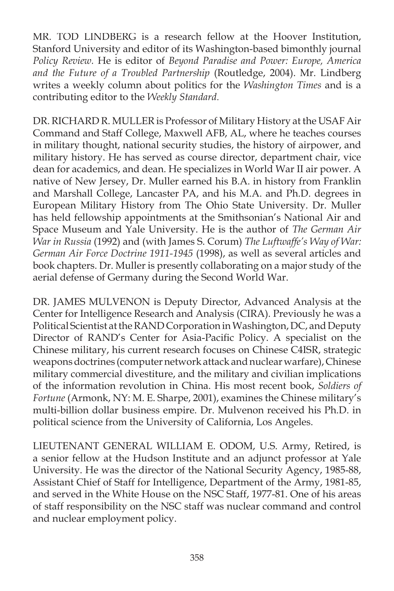MR. TOD LINDBERG is a research fellow at the Hoover Institution, Stanford University and editor of its Washington-based bimonthly journal *Policy Review.* He is editor of *Beyond Paradise and Power: Europe, America and the Future of a Troubled Partnership* (Routledge, 2004). Mr. Lindberg writes a weekly column about politics for the *Washington Times* and is a contributing editor to the *Weekly Standard*.

DR. RICHARD R. MULLER is Professor of Military History at the USAF Air Command and Staff College, Maxwell AFB, AL, where he teaches courses in military thought, national security studies, the history of airpower, and military history. He has served as course director, department chair, vice dean for academics, and dean. He specializes in World War II air power. A native of New Jersey, Dr. Muller earned his B.A. in history from Franklin and Marshall College, Lancaster PA, and his M.A. and Ph.D. degrees in European Military History from The Ohio State University. Dr. Muller has held fellowship appointments at the Smithsonian's National Air and Space Museum and Yale University. He is the author of *The German Air War in Russia* (1992) and (with James S. Corum) *The Luftwaffe's Way of War: German Air Force Doctrine 1911-1945* (1998), as well as several articles and book chapters. Dr. Muller is presently collaborating on a major study of the aerial defense of Germany during the Second World War.

DR. JAMES MULVENON is Deputy Director, Advanced Analysis at the Center for Intelligence Research and Analysis (CIRA). Previously he was a Political Scientist at the RAND Corporation in Washington, DC, and Deputy Director of RAND's Center for Asia-Pacific Policy. A specialist on the Chinese military, his current research focuses on Chinese C4ISR, strategic weapons doctrines (computer network attack and nuclear warfare), Chinese military commercial divestiture, and the military and civilian implications of the information revolution in China. His most recent book, *Soldiers of Fortune* (Armonk, NY: M. E. Sharpe, 2001), examines the Chinese military's multi-billion dollar business empire. Dr. Mulvenon received his Ph.D. in political science from the University of California, Los Angeles.

LIEUTENANT GENERAL WILLIAM E. ODOM, U.S. Army, Retired, is a senior fellow at the Hudson Institute and an adjunct professor at Yale University. He was the director of the National Security Agency, 1985-88, Assistant Chief of Staff for Intelligence, Department of the Army, 1981-85, and served in the White House on the NSC Staff, 1977-81. One of his areas of staff responsibility on the NSC staff was nuclear command and control and nuclear employment policy.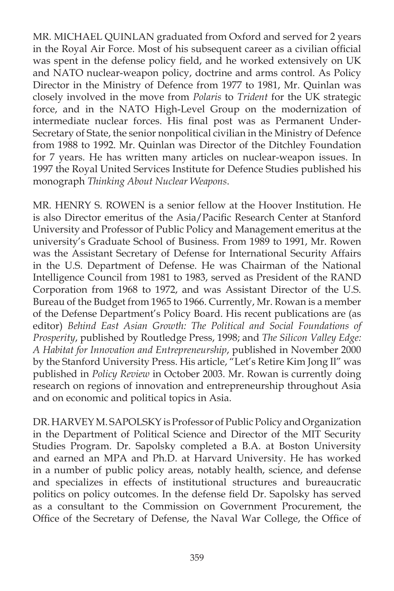MR. MICHAEL QUINLAN graduated from Oxford and served for 2 years in the Royal Air Force. Most of his subsequent career as a civilian official was spent in the defense policy field, and he worked extensively on UK and NATO nuclear-weapon policy, doctrine and arms control. As Policy Director in the Ministry of Defence from 1977 to 1981, Mr. Quinlan was closely involved in the move from *Polaris* to *Trident* for the UK strategic force, and in the NATO High-Level Group on the modernization of intermediate nuclear forces. His final post was as Permanent Under-Secretary of State, the senior nonpolitical civilian in the Ministry of Defence from 1988 to 1992. Mr. Quinlan was Director of the Ditchley Foundation for 7 years. He has written many articles on nuclear-weapon issues. In 1997 the Royal United Services Institute for Defence Studies published his monograph *Thinking About Nuclear Weapons*.

MR. HENRY S. ROWEN is a senior fellow at the Hoover Institution. He is also Director emeritus of the Asia/Pacific Research Center at Stanford University and Professor of Public Policy and Management emeritus at the university's Graduate School of Business. From 1989 to 1991, Mr. Rowen was the Assistant Secretary of Defense for International Security Affairs in the U.S. Department of Defense. He was Chairman of the National Intelligence Council from 1981 to 1983, served as President of the RAND Corporation from 1968 to 1972, and was Assistant Director of the U.S. Bureau of the Budget from 1965 to 1966. Currently, Mr. Rowan is a member of the Defense Department's Policy Board. His recent publications are (as editor) *Behind East Asian Growth: The Political and Social Foundations of Prosperity*, published by Routledge Press, 1998; and *The Silicon Valley Edge: A Habitat for Innovation and Entrepreneurship*, published in November 2000 by the Stanford University Press. His article, "Let's Retire Kim Jong Il" was published in *Policy Review* in October 2003. Mr. Rowan is currently doing research on regions of innovation and entrepreneurship throughout Asia and on economic and political topics in Asia.

DR. HARVEY M. SAPOLSKY is Professor of Public Policy and Organization in the Department of Political Science and Director of the MIT Security Studies Program. Dr. Sapolsky completed a B.A. at Boston University and earned an MPA and Ph.D. at Harvard University. He has worked in a number of public policy areas, notably health, science, and defense and specializes in effects of institutional structures and bureaucratic politics on policy outcomes. In the defense field Dr. Sapolsky has served as a consultant to the Commission on Government Procurement, the Office of the Secretary of Defense, the Naval War College, the Office of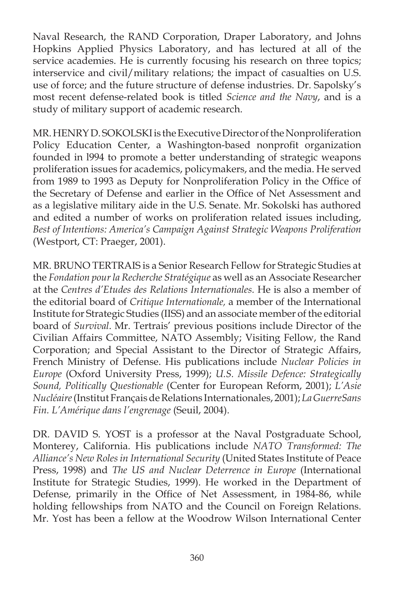Naval Research, the RAND Corporation, Draper Laboratory, and Johns Hopkins Applied Physics Laboratory, and has lectured at all of the service academies. He is currently focusing his research on three topics; interservice and civil/military relations; the impact of casualties on U.S. use of force; and the future structure of defense industries. Dr. Sapolsky's most recent defense-related book is titled *Science and the Navy*, and is a study of military support of academic research.

MR. HENRY D. SOKOLSKI is the Executive Director of the Nonproliferation Policy Education Center, a Washington-based nonprofit organization founded in l994 to promote a better understanding of strategic weapons proliferation issues for academics, policymakers, and the media. He served from 1989 to 1993 as Deputy for Nonproliferation Policy in the Office of the Secretary of Defense and earlier in the Office of Net Assessment and as a legislative military aide in the U.S. Senate. Mr. Sokolski has authored and edited a number of works on proliferation related issues including, *Best of Intentions: America's Campaign Against Strategic Weapons Proliferation* (Westport, CT: Praeger, 2001).

MR. BRUNO TERTRAIS is a Senior Research Fellow for Strategic Studies at the *Fondation pour la Recherche Stratégique* as well as an Associate Researcher at the *Centres d'Etudes des Relations Internationales.* He is also a member of the editorial board of *Critique Internationale,* a member of the International Institute for Strategic Studies (IISS) and an associate member of the editorial board of *Survival*. Mr. Tertrais' previous positions include Director of the Civilian Affairs Committee, NATO Assembly; Visiting Fellow, the Rand Corporation; and Special Assistant to the Director of Strategic Affairs, French Ministry of Defense. His publications include *Nuclear Policies in Europe* (Oxford University Press, 1999); *U.S. Missile Defence: Strategically Sound, Politically Questionable* (Center for European Reform, 2001); *L'Asie Nucléaire* (Institut Français de Relations Internationales, 2001); *La GuerreSans Fin. L'Amérique dans l'engrenage* (Seuil, 2004).

DR. DAVID S. YOST is a professor at the Naval Postgraduate School, Monterey, California. His publications include *NATO Transformed: The Alliance's New Roles in International Security* (United States Institute of Peace Press, 1998) and *The US and Nuclear Deterrence in Europe* (International Institute for Strategic Studies, 1999). He worked in the Department of Defense, primarily in the Office of Net Assessment, in 1984-86, while holding fellowships from NATO and the Council on Foreign Relations. Mr. Yost has been a fellow at the Woodrow Wilson International Center